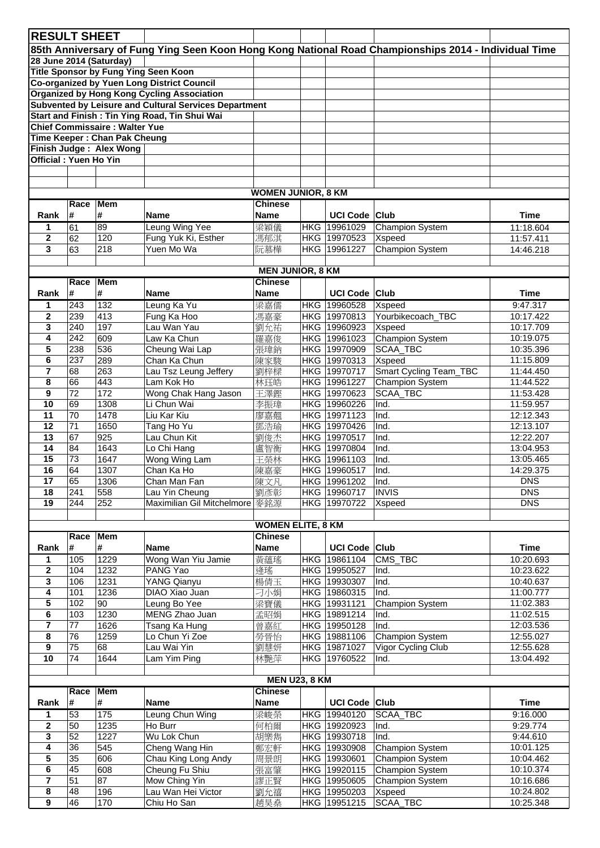| <b>RESULT SHEET</b>                                                                                  |                  |                                      |                                                       |                           |  |                              |                                |                        |  |  |  |  |
|------------------------------------------------------------------------------------------------------|------------------|--------------------------------------|-------------------------------------------------------|---------------------------|--|------------------------------|--------------------------------|------------------------|--|--|--|--|
| 85th Anniversary of Fung Ying Seen Koon Hong Kong National Road Championships 2014 - Individual Time |                  |                                      |                                                       |                           |  |                              |                                |                        |  |  |  |  |
| 28 June 2014 (Saturday)                                                                              |                  |                                      |                                                       |                           |  |                              |                                |                        |  |  |  |  |
| Title Sponsor by Fung Ying Seen Koon                                                                 |                  |                                      |                                                       |                           |  |                              |                                |                        |  |  |  |  |
| Co-organized by Yuen Long District Council                                                           |                  |                                      |                                                       |                           |  |                              |                                |                        |  |  |  |  |
|                                                                                                      |                  |                                      | <b>Organized by Hong Kong Cycling Association</b>     |                           |  |                              |                                |                        |  |  |  |  |
|                                                                                                      |                  |                                      | Subvented by Leisure and Cultural Services Department |                           |  |                              |                                |                        |  |  |  |  |
|                                                                                                      |                  |                                      | Start and Finish: Tin Ying Road, Tin Shui Wai         |                           |  |                              |                                |                        |  |  |  |  |
|                                                                                                      |                  | <b>Chief Commissaire: Walter Yue</b> |                                                       |                           |  |                              |                                |                        |  |  |  |  |
|                                                                                                      |                  | Time Keeper: Chan Pak Cheung         |                                                       |                           |  |                              |                                |                        |  |  |  |  |
| Finish Judge: Alex Wong                                                                              |                  |                                      |                                                       |                           |  |                              |                                |                        |  |  |  |  |
| <b>Official: Yuen Ho Yin</b>                                                                         |                  |                                      |                                                       |                           |  |                              |                                |                        |  |  |  |  |
|                                                                                                      |                  |                                      |                                                       |                           |  |                              |                                |                        |  |  |  |  |
|                                                                                                      |                  |                                      |                                                       |                           |  |                              |                                |                        |  |  |  |  |
|                                                                                                      |                  |                                      |                                                       | <b>WOMEN JUNIOR, 8 KM</b> |  |                              |                                |                        |  |  |  |  |
|                                                                                                      | Race             | <b>Mem</b>                           |                                                       | <b>Chinese</b>            |  |                              |                                |                        |  |  |  |  |
| Rank                                                                                                 | #                | #                                    | <b>Name</b>                                           | <b>Name</b>               |  | <b>UCI Code</b>              | <b>Club</b>                    | <b>Time</b>            |  |  |  |  |
| 1                                                                                                    | 61               | 89                                   | Leung Wing Yee                                        | 梁穎儀                       |  | HKG 19961029                 | <b>Champion System</b>         | 11:18.604              |  |  |  |  |
| $\mathbf{2}$                                                                                         | 62               | 120                                  | Fung Yuk Ki, Esther                                   | 馮郁淇                       |  | HKG 19970523                 | Xspeed                         | 11:57.411              |  |  |  |  |
| $\overline{\mathbf{3}}$                                                                              | 63               | 218                                  | Yuen Mo Wa                                            | 阮慕樺                       |  | HKG 19961227                 | <b>Champion System</b>         | 14:46.218              |  |  |  |  |
|                                                                                                      |                  |                                      |                                                       |                           |  |                              |                                |                        |  |  |  |  |
|                                                                                                      |                  |                                      |                                                       | <b>MEN JUNIOR, 8 KM</b>   |  |                              |                                |                        |  |  |  |  |
|                                                                                                      | Race             | <b>Mem</b>                           |                                                       | <b>Chinese</b>            |  |                              |                                |                        |  |  |  |  |
| Rank                                                                                                 | #                | #                                    | <b>Name</b>                                           | Name                      |  | <b>UCI Code</b>              | <b>Club</b>                    | <b>Time</b>            |  |  |  |  |
| 1                                                                                                    | 243              | 132                                  | Leung Ka Yu                                           | 梁嘉儒                       |  | HKG 19960528                 | Xspeed                         | 9:47.317               |  |  |  |  |
| $\mathbf{2}$                                                                                         | 239              | 413                                  | Fung Ka Hoo                                           | 馮嘉豪                       |  | HKG 19970813                 | Yourbikecoach_TBC              | 10:17.422              |  |  |  |  |
| 3                                                                                                    | 240              | 197                                  | Lau Wan Yau                                           | 劉允祐                       |  | HKG 19960923                 | Xspeed                         | 10:17.709              |  |  |  |  |
| 4                                                                                                    | $\overline{242}$ | 609                                  | Law Ka Chun                                           | 羅嘉俊                       |  | HKG 19961023                 | Champion System                | 10:19.075              |  |  |  |  |
| 5                                                                                                    | 238              | 536                                  | Cheung Wai Lap                                        | 張瑋鈉                       |  | HKG 19970909                 | SCAA_TBC                       | 10:35.396              |  |  |  |  |
| 6                                                                                                    | 237              | 289                                  | Chan Ka Chun                                          | 陳家駿                       |  | HKG 19970313                 | Xspeed                         | 11:15.809              |  |  |  |  |
| $\overline{7}$                                                                                       | 68               | 263                                  | Lau Tsz Leung Jeffery                                 | 劉梓樑                       |  | HKG 19970717                 | <b>Smart Cycling Team_TBC</b>  | 11:44.450              |  |  |  |  |
| 8                                                                                                    | 66               | 443                                  | Lam Kok Ho                                            | 林珏皓                       |  | HKG 19961227                 | Champion System                | 11:44.522              |  |  |  |  |
| 9                                                                                                    | 72               | 172                                  | Wong Chak Hang Jason                                  | 王澤鏗                       |  | HKG 19970623                 | SCAA_TBC                       | 11:53.428              |  |  |  |  |
| 10                                                                                                   | 69               | 1308                                 | Li Chun Wai                                           | 李振瑋                       |  | HKG 19960226                 | Ind.                           | 11:59.957              |  |  |  |  |
| 11                                                                                                   | 70               | 1478                                 | Liu Kar Kiu                                           | 廖嘉翹                       |  | HKG 19971123                 | Ind.                           | 12:12.343              |  |  |  |  |
| 12                                                                                                   | $\overline{71}$  | 1650                                 | Tang Ho Yu                                            | 鄧浩瑜                       |  | HKG 19970426                 | Ind.                           | 12:13.107              |  |  |  |  |
| 13                                                                                                   | 67               | $\overline{925}$                     | Lau Chun Kit                                          | 劉俊杰                       |  | HKG 19970517                 | Ind.                           | 12:22.207              |  |  |  |  |
| 14                                                                                                   | 84               | 1643                                 | Lo Chi Hang                                           | 盧智衡                       |  | HKG 19970804                 | Ind.                           | 13:04.953              |  |  |  |  |
| 15                                                                                                   | 73               | 1647                                 | Wong Wing Lam                                         | 王榮林                       |  | HKG 19961103                 | Ind.                           | 13:05.465              |  |  |  |  |
| 16                                                                                                   | 64               | 1307                                 | Chan Ka Ho                                            | 陳嘉豪                       |  | HKG 19960517                 | Ind.                           | 14:29.375              |  |  |  |  |
| 17                                                                                                   | 65               | 1306                                 | Chan Man Fan                                          | 陳文凡                       |  | HKG 19961202                 | Ind.                           | DNS                    |  |  |  |  |
| 18                                                                                                   | 241              | 558                                  | Lau Yin Cheung                                        | 劉彥彰                       |  | HKG 19960717                 | <b>INVIS</b>                   | <b>DNS</b>             |  |  |  |  |
| 19                                                                                                   | 244              | 252                                  | Maximilian Gil Mitchelmore                            | 麥銘源                       |  | HKG 19970722                 | Xspeed                         | <b>DNS</b>             |  |  |  |  |
|                                                                                                      |                  |                                      |                                                       |                           |  |                              |                                |                        |  |  |  |  |
|                                                                                                      |                  |                                      |                                                       | <b>WOMEN ELITE, 8 KM</b>  |  |                              |                                |                        |  |  |  |  |
|                                                                                                      | Race             | <b>Mem</b>                           |                                                       | <b>Chinese</b>            |  |                              |                                |                        |  |  |  |  |
| Rank                                                                                                 | #                | #                                    | <b>Name</b>                                           | <b>Name</b>               |  | <b>UCI Code</b>              | <b>Club</b>                    | <b>Time</b>            |  |  |  |  |
| 1                                                                                                    | 105              | 1229                                 | Wong Wan Yiu Jamie                                    | 黃蘊瑤                       |  | HKG 19861104                 | CMS_TBC                        | 10:20.693              |  |  |  |  |
| $\mathbf{2}$                                                                                         | 104              | 1232                                 | PANG Yao                                              | 逄瑤                        |  | HKG 19950527                 | Ind.                           | 10:23.622              |  |  |  |  |
| 3<br>$\overline{4}$                                                                                  | 106<br>101       | 1231<br>1236                         | <b>YANG Qianyu</b><br>DIAO Xiao Juan                  | 楊倩玉                       |  | HKG 19930307                 | Ind.                           | 10:40.637<br>11:00.777 |  |  |  |  |
|                                                                                                      | 102              |                                      |                                                       | 刁小娟                       |  | HKG 19860315                 | Ind.                           |                        |  |  |  |  |
| 5<br>6                                                                                               | 103              | 90<br>1230                           | Leung Bo Yee<br>MENG Zhao Juan                        | 梁寶儀                       |  | HKG 19931121<br>HKG 19891214 | <b>Champion System</b><br>Ind. | 11:02.383<br>11:02.515 |  |  |  |  |
| $\overline{7}$                                                                                       | 77               | 1626                                 | Tsang Ka Hung                                         | 孟昭娟<br>曾嘉紅                |  | HKG 19950128                 | Ind.                           | 12:03.536              |  |  |  |  |
| 8                                                                                                    | 76               | 1259                                 | Lo Chun Yi Zoe                                        | 勞晉怡                       |  | HKG 19881106                 | Champion System                | 12:55.027              |  |  |  |  |
| 9                                                                                                    | 75               | 68                                   | Lau Wai Yin                                           | 劉慧妍                       |  | HKG 19871027                 | Vigor Cycling Club             | 12:55.628              |  |  |  |  |
| 10                                                                                                   | 74               | 1644                                 | Lam Yim Ping                                          | 林艷萍                       |  | HKG 19760522                 | Ind.                           | 13:04.492              |  |  |  |  |
|                                                                                                      |                  |                                      |                                                       |                           |  |                              |                                |                        |  |  |  |  |
|                                                                                                      |                  |                                      |                                                       | <b>MEN U23, 8 KM</b>      |  |                              |                                |                        |  |  |  |  |
|                                                                                                      | Race             | <b>Mem</b>                           |                                                       | <b>Chinese</b>            |  |                              |                                |                        |  |  |  |  |
| Rank                                                                                                 | #                | #                                    | <b>Name</b>                                           | Name                      |  | UCI Code Club                |                                | <b>Time</b>            |  |  |  |  |
| 1                                                                                                    | 53               | 175                                  | Leung Chun Wing                                       | 梁峻榮                       |  | HKG 19940120                 | SCAA_TBC                       | 9:16.000               |  |  |  |  |
| $\mathbf{2}$                                                                                         | 50               | 1235                                 | Ho Burr                                               | 何柏爾                       |  | HKG 19920923                 | Ind.                           | 9:29.774               |  |  |  |  |
| 3                                                                                                    | 52               | 1227                                 | Wu Lok Chun                                           | 胡樂雋                       |  | HKG 19930718                 | Ind.                           | 9:44.610               |  |  |  |  |
| 4                                                                                                    | $\overline{36}$  | 545                                  | Cheng Wang Hin                                        | 鄭宏軒                       |  | HKG 19930908                 | <b>Champion System</b>         | 10:01.125              |  |  |  |  |
| 5                                                                                                    | 35               | 606                                  | Chau King Long Andy                                   | 周景朗                       |  | HKG 19930601                 | Champion System                | 10:04.462              |  |  |  |  |
| 6                                                                                                    | 45               | 608                                  | Cheung Fu Shiu                                        | 張富肇                       |  | HKG 19920115                 | Champion System                | 10:10.374              |  |  |  |  |
| $\overline{7}$                                                                                       | 51               | 87                                   | Mow Ching Yin                                         | 謬正賢                       |  | HKG 19950605                 | Champion System                | 10:16.686              |  |  |  |  |
| 8                                                                                                    | 48               | 196                                  | Lau Wan Hei Victor                                    | 劉允禧                       |  | HKG 19950203                 | Xspeed                         | 10:24.802              |  |  |  |  |
| $\boldsymbol{9}$                                                                                     | 46               | 170                                  | Chiu Ho San                                           | 趙昊燊                       |  | HKG 19951215                 | SCAA_TBC                       | 10:25.348              |  |  |  |  |